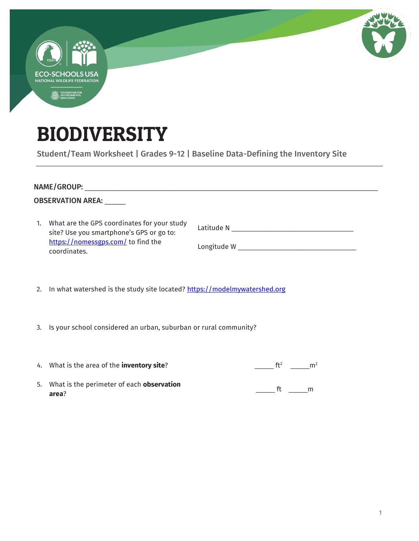| <b>COLOR</b>                                           |  |  |
|--------------------------------------------------------|--|--|
| <b>ECO-SCHOOLS USA</b><br>NATIONAL WILDLIFE FEDERATION |  |  |
| FOUNDATION FOR<br>ENVIRONMENTAL<br>EDUCATION<br>0      |  |  |
|                                                        |  |  |

## BIODIVERSITY

Student/Team Worksheet | Grades 9-12 | Baseline Data-Defining the Inventory Site

| <b>OBSERVATION AREA:</b> |                                                                                                                                                  |                          |  |  |  |
|--------------------------|--------------------------------------------------------------------------------------------------------------------------------------------------|--------------------------|--|--|--|
|                          | 1. What are the GPS coordinates for your study<br>site? Use you smartphone's GPS or go to:<br>https://nomessgps.com/ to find the<br>coordinates. |                          |  |  |  |
|                          | 2. In what watershed is the study site located? https://modelmywatershed.org                                                                     |                          |  |  |  |
|                          | 3. Is your school considered an urban, suburban or rural community?                                                                              |                          |  |  |  |
|                          | 4. What is the area of the <b>inventory site</b> ?                                                                                               | $ft^2$<br>m <sup>2</sup> |  |  |  |

5. What is the perimeter of each **observation area**?  $\frac{1}{\sqrt{2\pi}}$  ft  $\frac{1}{\sqrt{2\pi}}$ m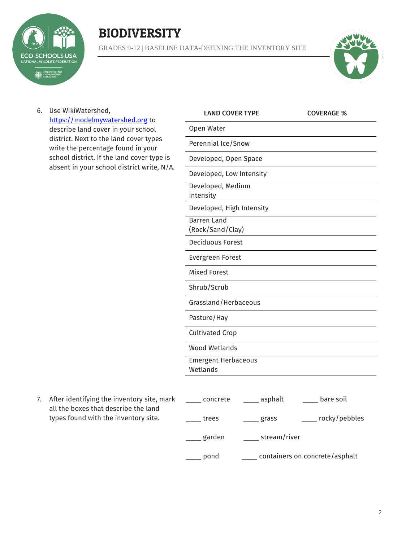

## **BIODIVERSITY**

GRADES 9-12 | BASELINE DATA-DEFINING THE INVENTORY SITE



6. Use WikiWatershed, [https://modelmywatershed.org](https://modelmywatershed.org/) to describe land cover in your school district. Next to the land cover types write the percentage found in your school district. If the land cover type is absent in your school district write, N/A.

| <b>LAND COVER TYPE</b>                 |         | <b>COVERAGE %</b> |
|----------------------------------------|---------|-------------------|
| Open Water                             |         |                   |
| Perennial Ice/Snow                     |         |                   |
| Developed, Open Space                  |         |                   |
| Developed, Low Intensity               |         |                   |
| Developed, Medium<br>Intensity         |         |                   |
| Developed, High Intensity              |         |                   |
| <b>Barren Land</b><br>(Rock/Sand/Clay) |         |                   |
| <b>Deciduous Forest</b>                |         |                   |
| Evergreen Forest                       |         |                   |
| <b>Mixed Forest</b>                    |         |                   |
| Shrub/Scrub                            |         |                   |
| Grassland/Herbaceous                   |         |                   |
| Pasture/Hay                            |         |                   |
| <b>Cultivated Crop</b>                 |         |                   |
| <b>Wood Wetlands</b>                   |         |                   |
| <b>Emergent Herbaceous</b><br>Wetlands |         |                   |
| concroto                               | acahalt | haro coil         |

7. After identifying the inventory site, mark all the boxes that describe the land types found with the inventory site.

| concrete | bare soil<br>asphalt           |  |  |
|----------|--------------------------------|--|--|
| trees    | rocky/pebbles<br>grass         |  |  |
| garden   | stream/river                   |  |  |
| pond     | containers on concrete/asphalt |  |  |